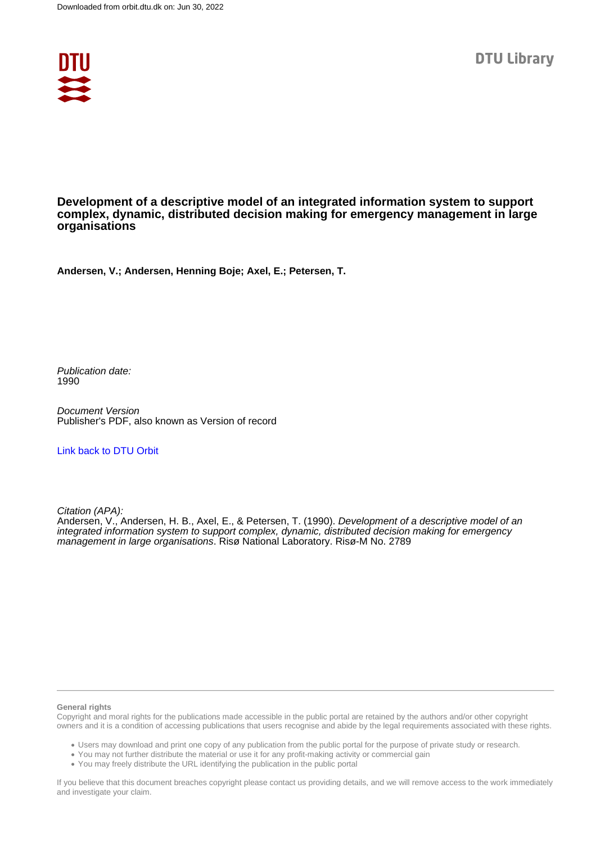

# **Development of a descriptive model of an integrated information system to support complex, dynamic, distributed decision making for emergency management in large organisations**

**Andersen, V.; Andersen, Henning Boje; Axel, E.; Petersen, T.**

Publication date: 1990

Document Version Publisher's PDF, also known as Version of record

#### [Link back to DTU Orbit](https://orbit.dtu.dk/en/publications/56aa93e6-158f-4a1e-80b7-f99d724f6cd3)

Citation (APA):

Andersen, V., Andersen, H. B., Axel, E., & Petersen, T. (1990). Development of a descriptive model of an integrated information system to support complex, dynamic, distributed decision making for emergency management in large organisations. Risø National Laboratory. Risø-M No. 2789

#### **General rights**

Copyright and moral rights for the publications made accessible in the public portal are retained by the authors and/or other copyright owners and it is a condition of accessing publications that users recognise and abide by the legal requirements associated with these rights.

Users may download and print one copy of any publication from the public portal for the purpose of private study or research.

- You may not further distribute the material or use it for any profit-making activity or commercial gain
- You may freely distribute the URL identifying the publication in the public portal

If you believe that this document breaches copyright please contact us providing details, and we will remove access to the work immediately and investigate your claim.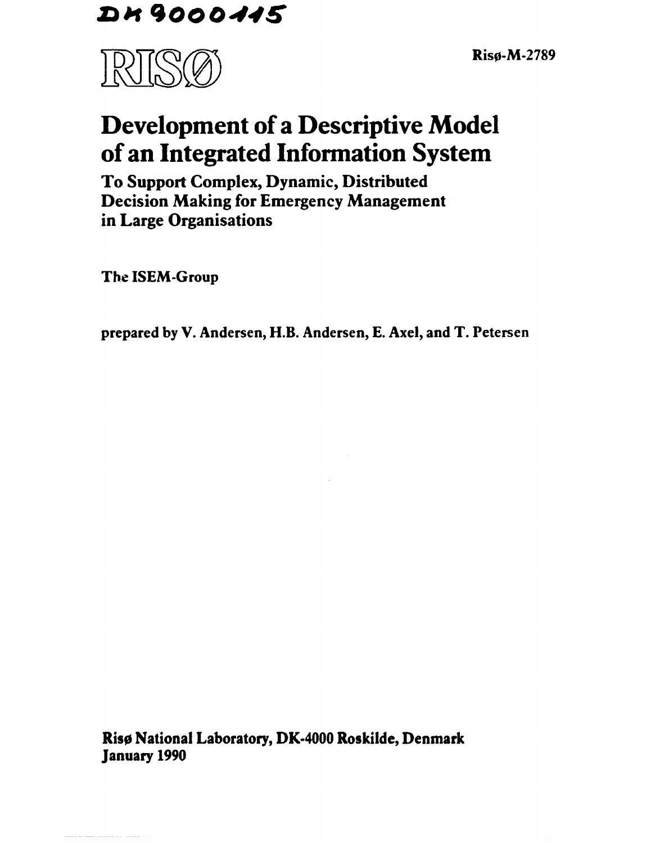DK9000445

Risø-M-2789



# **Development of a Descriptive Model of an Integrated Information System**

**To Support Complex, Dynamic, Distributed Decision Making for Emergency Management in Large Organisations** 

**The ISEM-Group** 

**prepared** by **V.** Andersen, **H.B.** Andersen, E. Axel, **and** T. Petersen

**Risø National Laboratory, DK-4000 Roskilde, Denmark January 1990**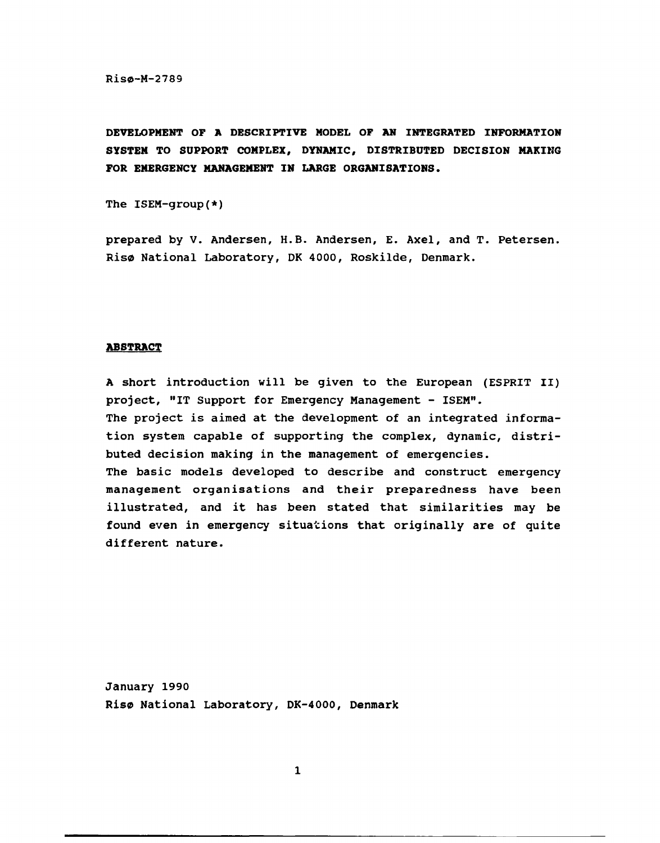Risø-M-2789

**DEVELOPMENT OF A DESCRIPTIVE MODEL OF AN INTEGRATED INFORMATION SYSTEM TO SUPPORT COMPLEX, DYNAMIC, DISTRIBUTED DECISION MAKING FOR EMERGENCY MANAGEMENT IN LARGE ORGANISATIONS.** 

The ISEM-group(\*)

prepared by V. Andersen, H.B. Andersen, E. Axel, and T. Petersen. Risø National Laboratory, DK 4000, Roskilde, Denmark.

#### **ABSTRACT**

A short introduction will be given to the European (ESPRIT II) project, "IT Support for Emergency Management - ISEM". The project is aimed at the development of an integrated information system capable of supporting the complex, dynamic, distributed decision making in the management of emergencies. The basic models developed to describe and construct emergency management organisations and their preparedness have been illustrated, and it has been stated that similarities may be found even in emergency situations that originally are of quite different nature.

January 1990 Risø National Laboratory, DK-4000, Denmark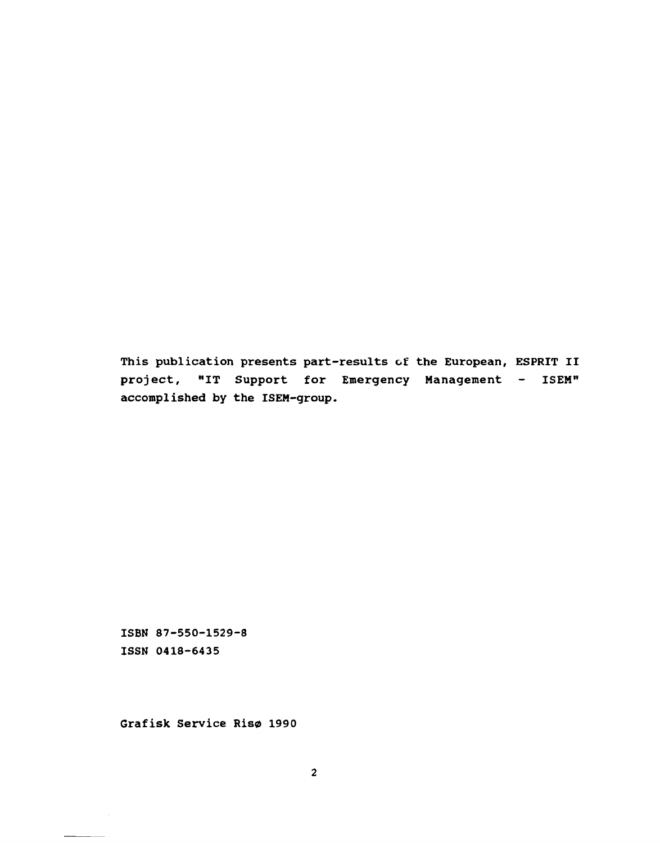This publication presents part-results of the European, ESPRIT II project, "IT Support for Emergency Management - ISEM" accomplished by the ISEM-group.

ISBN 87-550-1529-8 ISSN 0418-6435

Grafisk Service Risø 1990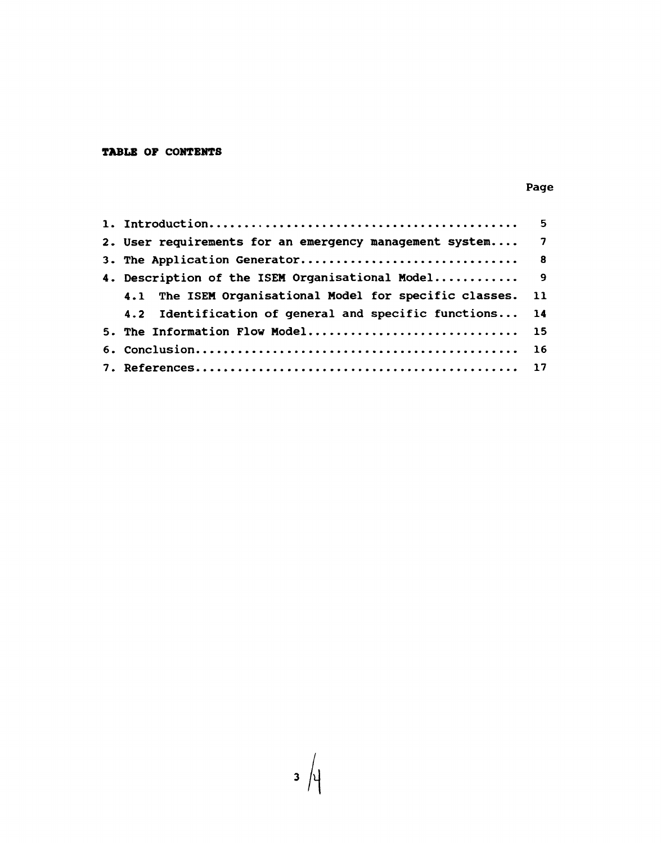# **TABLE OP CONTENTS**

# Page

| 2. User requirements for an emergency management system 7  |  |
|------------------------------------------------------------|--|
|                                                            |  |
| 4. Description of the ISEM Organisational Model 9          |  |
| 4.1 The ISEM Organisational Model for specific classes. 11 |  |
| 4.2 Identification of general and specific functions 14    |  |
| 5. The Information Flow Model 15                           |  |
|                                                            |  |
|                                                            |  |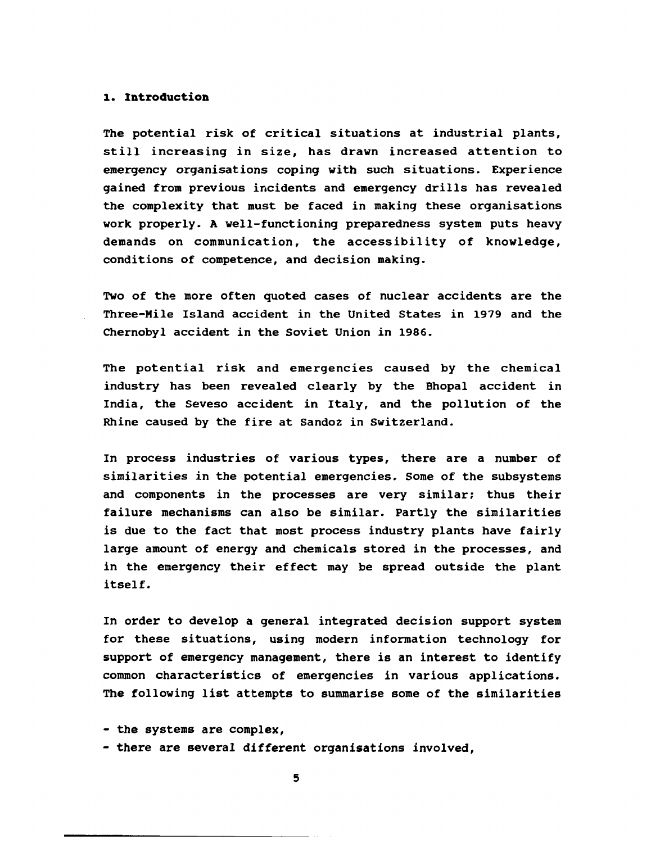# **1. Introduction**

The potential risk of critical situations at industrial plants, still increasing in size, has drawn increased attention to emergency organisations coping with such situations. Experience gained from previous incidents and emergency drills has revealed the complexity that must be faced in making these organisations work properly. A well-functioning preparedness system puts heavy demands on communication, the accessibility of knowledge, conditions of competence, and decision making.

Two of the more often quoted cases of nuclear accidents are the Three-Mile Island accident in the United States in 1979 and the Chernobyl accident in the Soviet Union in 1986.

The potential risk and emergencies caused by the chemical industry has been revealed clearly by the Bhopal accident in India, the Seveso accident in Italy, and the pollution of the Rhine caused by the fire at Sandoz in Switzerland.

In process industries of various types, there are a number of similarities in the potential emergencies. Some of the subsystems and components in the processes are very similar; thus their failure mechanisms can also be similar. Partly the similarities is due to the fact that most process industry plants have fairly large amount of energy and chemicals stored in the processes, and in the emergency their effect may be spread outside the plant itself.

In order to develop a general integrated decision support system for these situations, using modern information technology for support of emergency management, there is an interest to identify common characteristics of emergencies in various applications. The following list attempts to summarise some of the similarities

- the systems are complex,
- there are several different organisations involved,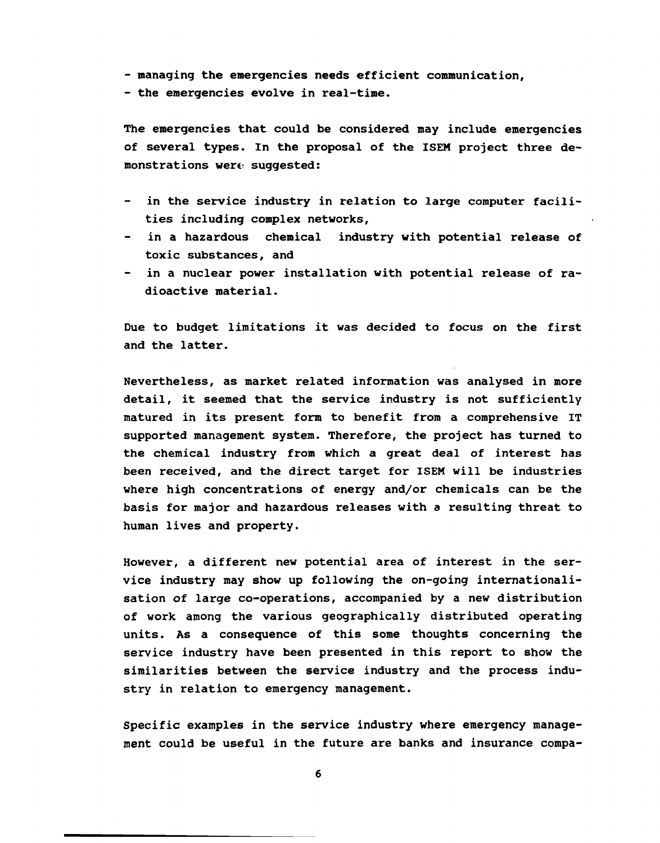- **managing the emergencies needs efficient communication,**
- **the emergencies evolve in real-time.**

**The emergencies that could be considered may include emergencies of several types. In the proposal of the ISEM project three demonstrations were? suggested:** 

- in the service industry in relation to large computer facili**ties including complex networks,**
- **in a hazardous chemical industry with potential release of toxic substances, and**
- **in a nuclear power installation with potential release of radioactive material.**

**Due to budget limitations it was decided to focus on the first and the latter.** 

**Nevertheless, as market related information was analysed in more detail, it seemed that the service industry is not sufficiently matured in its present form to benefit from a comprehensive IT supported management system. Therefore, the project has turned to the chemical industry from which a great deal of interest has been received, and the direct target for ISEM will be industries where high concentrations of energy and/or chemicals can be the basis for major and hazardous releases with a resulting threat to human lives and property.** 

**However, a different new potential area of interest in the service industry may show up following the on-going internationalisation of large co-operations, accompanied by a new distribution of work among the various geographically distributed operating units. As a consequence of this some thoughts concerning the service industry have been presented in this report to show the similarities between the service industry and the process industry in relation to emergency management.** 

**Specific examples in the service industry where emergency management could be useful in the future are banks and insurance compa-**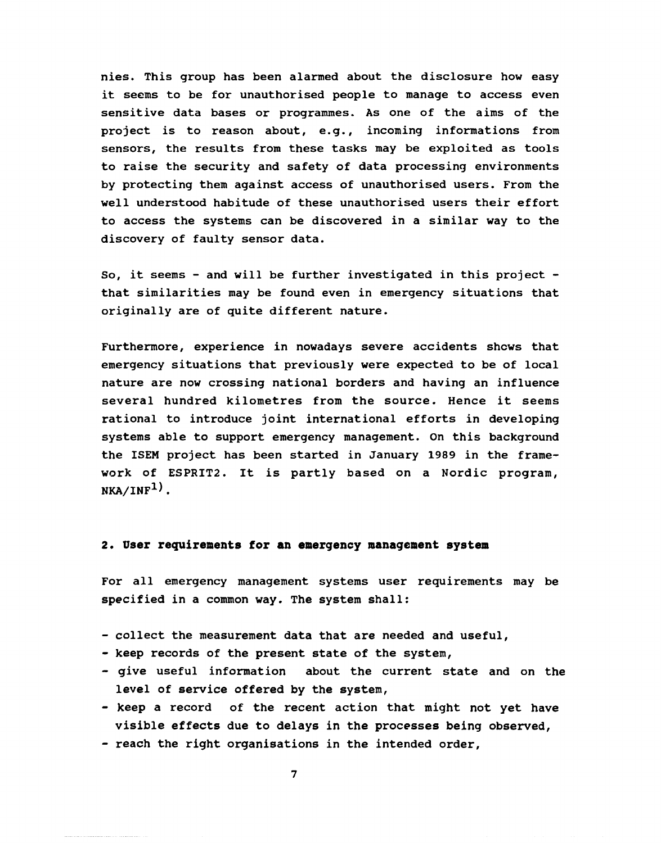nies. This group has been alarmed about the disclosure how easy it seems to be for unauthorised people to manage to access even sensitive data bases or programmes. As one of the aims of the project is to reason about, e.g., incoming informations from sensors, the results from these tasks may be exploited as tools to raise the security and safety of data processing environments by protecting them against access of unauthorised users. From the well understood habitude of these unauthorised users their effort to access the systems can be discovered in a similar way to the discovery of faulty sensor data.

So, it seems - and will be further investigated in this project that similarities may be found even in emergency situations that originally are of quite different nature.

Furthermore, experience in nowadays severe accidents shews that emergency situations that previously were expected to be of local nature are now crossing national borders and having an influence several hundred kilometres from the source. Hence it seems rational to introduce joint international efforts in developing systems able to support emergency management. On this background the ISEM project has been started in January 1989 in the framework of ESPRIT2. It is partly based on a Nordic program,  $NKA/INF<sup>1</sup>$ .

# **2. User requirements for an emergency management system**

For all emergency management systems user requirements may be specified in a common way. The system shall:

- collect the measurement data that are needed and useful,
- keep records of the present state of the system,
- give useful information about the current state and on the level of service offered by the system,
- keep a record of the recent action that might not yet have visible effects due to delays in the processes being observed,
- reach the right organisations in the intended order,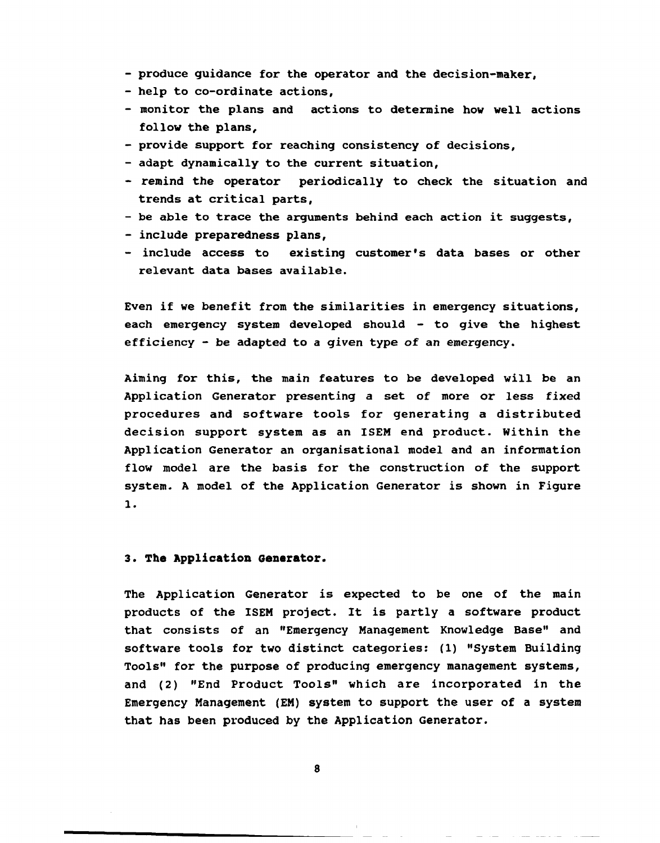- produce guidance for the operator and the decision-maker,
- help to co-ordinate actions,
- monitor the plans and actions to determine how well actions follow the plans,
- provide support for reaching consistency of decisions,
- adapt dynamically to the current situation,
- *-* remind the operator periodically to check the situation and trends at critical parts,
- be able to trace the arguments behind each action it suggests,
- include preparedness plans,
- include access to existing customer's data bases or other relevant data bases available.

Even if we benefit from the similarities in emergency situations, each emergency system developed should - to give the highest efficiency - be adapted to a given type of an emergency.

Aiming for this, the main features to be developed will be an Application Generator presenting a set of more or less fixed procedures and software tools for generating a distributed decision support system as an ISEM end product. Within the Application Generator an organisational model and an information flow model are the basis for the construction of the support system. A model of the Application Generator is shown in Figure 1.

# **3. The Application Generator.**

The Application Generator is expected to be one of the main products of the ISEM project. It is partly a software product that consists of an "Emergency Management Knowledge Base" and software tools for two distinct categories: (1) "System Building Tools" for the purpose of producing emergency management systems, and (2) "End Product Tools" which are incorporated in the Emergency Management (EM) system to support the user of a system that has been produced by the Application Generator.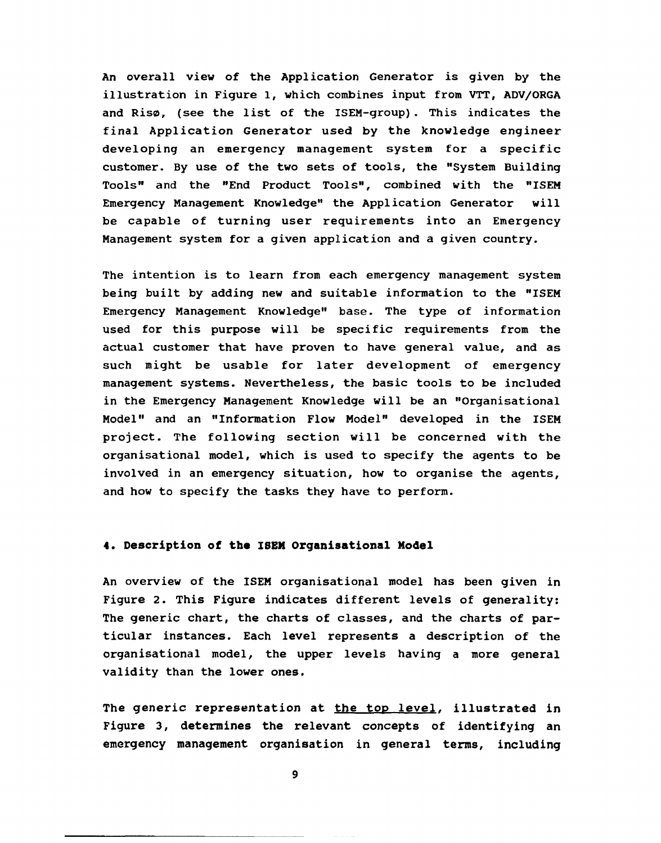An overall view of the Application Generator is given by the illustration in Figure 1, which combines input from VTT, ADV/ORGA and Risø, (see the list of the ISEM-group) . This indicates the final Application Generator used by the knowledge engineer developing an emergency management system for a specific customer. By use of the two sets of tools, the "System Building Tools" and the "End Product Tools", combined with the "ISEM Emergency Management Knowledge" the Application Generator will be capable of turning user requirements into an Emergency Management system for a given application and a given country.

The intention is to learn from each emergency management system being built by adding new and suitable information to the "ISEM Emergency Management Knowledge" base. The type of information used for this purpose will be specific requirements from the actual customer that have proven to have general value, and as such might be usable for later development of emergency management systems. Nevertheless, the basic tools to be included in the Emergency Management Knowledge will be an "Organisational Model" and an "Information Flow Model" developed in the ISEM project. The following section will be concerned with the organisational model, which is used to specify the agents to be involved in an emergency situation, how to organise the agents, and how to specify the tasks they have to perform.

# **4. Description of the ISEM Organisational Model**

An overview of the ISEM organisational model has been given in Figure 2. This Figure indicates different levels of generality: The generic chart, the charts of classes, and the charts of particular instances. Each level represents **a** description of the organisational model, the upper levels having a more general validity than the lower ones.

The generic representation at the top level, illustrated in Figure 3, determines **the** relevant concepts of identifying an emergency management **organisation** in general terms, **including**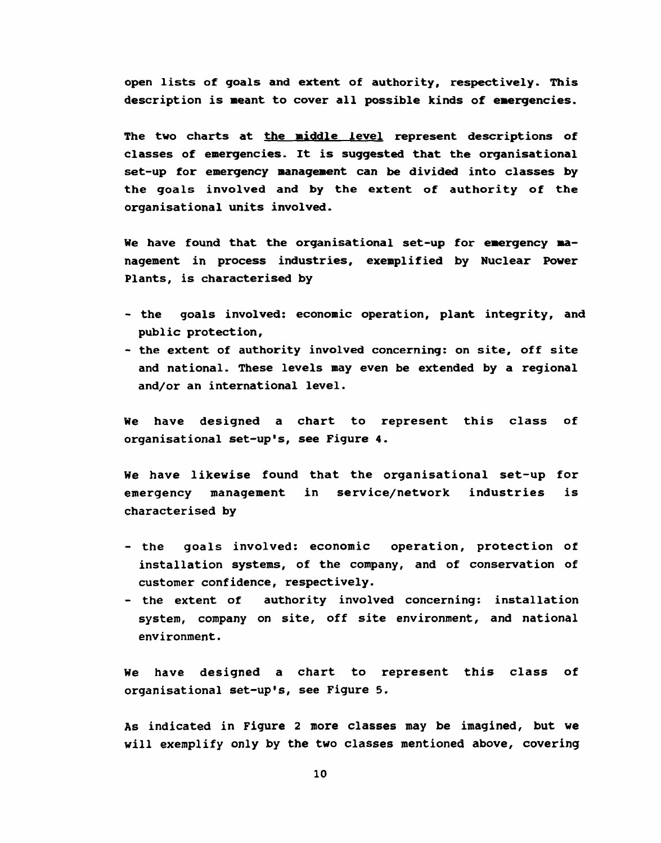**open lists of goals and extent of authority, respectively. This description is meant to cover all possible kinds of emergencies.** 

**The two charts at the middle level represent descriptions of classes of emergencies. It is suggested that the organisational set-up for emergency management can be divided into classes by the goals involved and by the extent of authority of the organisational units involved.** 

**We have found that the organisational set-up for emergency management in process industries, exemplified by Nuclear Power Plants, is characterised by** 

- **the goals involved: economic operation, plant integrity, and public protection,**
- **the extent of authority involved concerning: on site, off site and national. These levels may even be extended by a regional and/or an international level.**

**We have designed a chart to represent this class of organisational set-up's, see Figure 4.** 

**We have likewise found that the organisational set-up for emergency management in service/network industries is characterised by** 

- **the goals involved: economic operation, protection of installation systems, of the company, and of conservation of customer confidence, respectively.**
- **the extent of authority involved concerning: installation system, company on site, off site environment, and national environment.**

**We have designed a chart to represent this class of organisational set-up's, see Figure 5.** 

**As indicated in Figure 2 more classes may be imagined, but we will exemplify only by the two classes mentioned above, covering**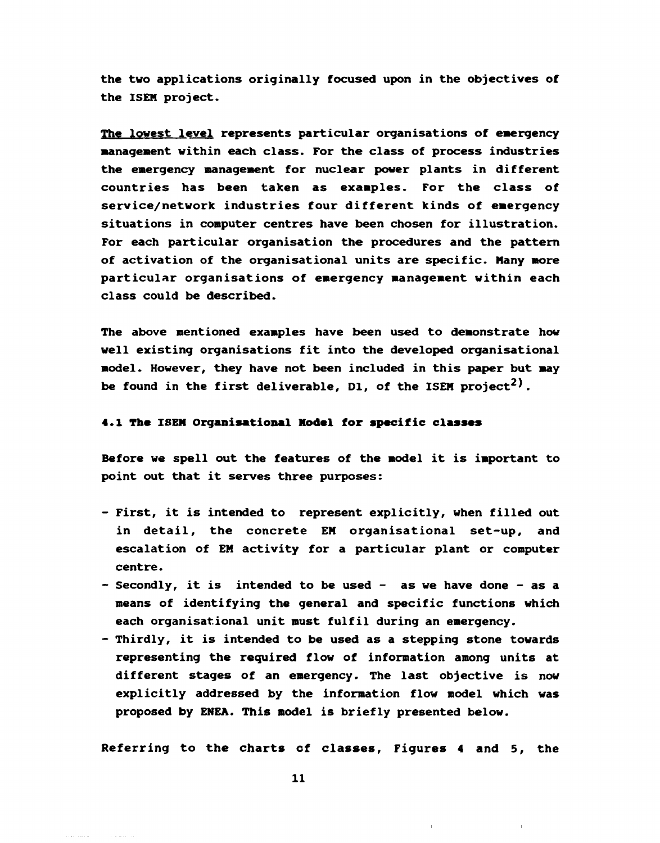the two applications originally focused upon in the objectives of the ISEN project.

The lowest level represents particular organisations of emergency management within each class. For the class of process industries the emergency management for nuclear power plants in different countries has been taken as examples. For the class of service/network industries four different kinds of emergency situations in computer centres have been chosen for illustration. For each particular organisation the procedures and the pattern of activation of the organisational units are specific. Many more particular organisations of emergency management within each class could be described.

The above mentioned examples have been used to demonstrate how well existing organisations fit into the developed organisational model. However, they have not been included in this paper but may be found in the first deliverable, D1, of the ISEM project<sup>2)</sup>.

### **4.1 The** ISEN **Organisational Model** for specific **classes**

Before we spell out the features of the model it is important to point out that it serves three purposes:

- First, it is intended to represent explicitly, when filled out in detail, the concrete EM organisational set-up, and escalation of EM activity for a particular plant or computer centre.
- Secondly, it is intended to be used as we have done as a means of identifying the general and specific functions which each organisational unit must fulfil during an emergency.
- Thirdly, it is intended to be used as a stepping stone towards representing the required flow of information among units at different stages of an emergency. The last objective is now explicitly addressed by the information flow model which was proposed by ENEA. This model is briefly presented below.

Referring to the charts of classes, Figures 4 and 5, the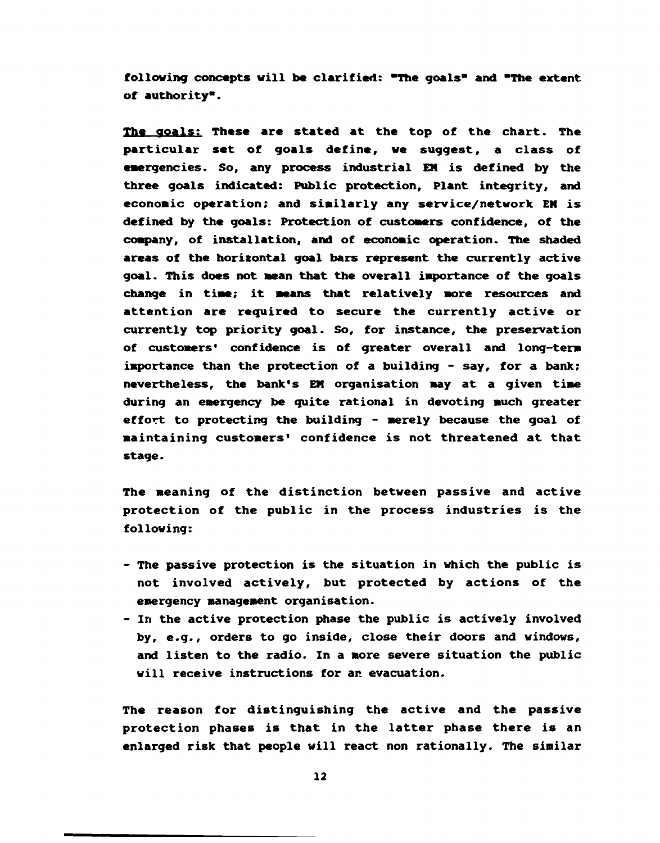**following concepts will be clarified: "The goals" and "The extent of authority".** 

**The goals: These are stated at the top of the chart. The particular set of goals define, we suggest, a class of emergencies. So, any process industrial EM is defined by the three goals indicated: Public protection. Plant integrity, and economic operation; and similarly any service/network EM is defined by the goals: Protection of customers confidence, of the company, of installation, and of economic operation. The shaded areas of the horisontal goal bars represent the currently active goal. This does not mean that the overall importance of the goals change in time; it means that relatively more resources and attention are required to secure the currently active or currently top priority goal. So, for instance, the preservation of customers' confidence is of greater overall and long-term importance than the protection of a building - say, for a bank; nevertheless, the bank's EM organisation may at a given time during an emergency be quite rational in devoting much greater effort to protecting the building - merely because the goal of maintaining customers' confidence is not threatened at that stage.** 

**The meaning of the distinction between passive and active protection of the public in the process industries is the following:** 

- **The passive protection is the situation in which the public is not involved actively, but protected by actions of the emergency management organisation.**
- **In the active protection phase the public is actively involved by, e.g., orders to go inside, close their doors and windows, and listen to the radio. In a more severe situation the public will receive instructions for an evacuation.**

**The reason for distinguishing the active and the passive protection phases is that in the latter phase there is an enlarged risk that people will react non rationally. The similar**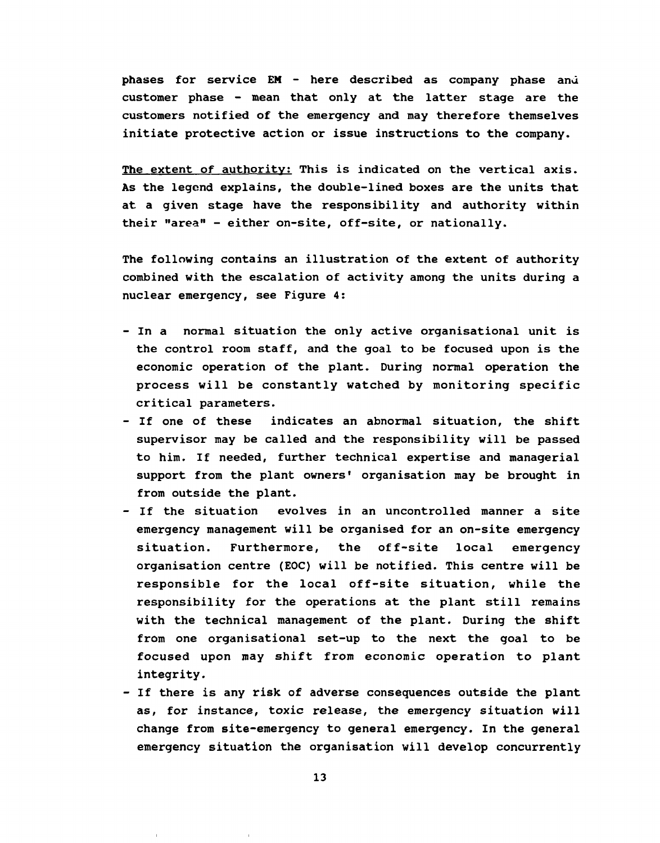phases for service EM - here described as company phase and customer phase - mean that only at the latter stage are the customers notified of the emergency and may therefore themselves initiate protective action or issue instructions to the company.

The extent of authority: This is indicated on the vertical axis. As the legend explains, the double-lined boxes are the units that at a given stage have the responsibility and authority within their "area" - either on-site, off-site, or nationally.

The following contains an illustration of the extent of authority combined with the escalation of activity among the units during a nuclear emergency, see Figure 4:

- In a normal situation the only active organisational unit is the control room staff, and the goal to be focused upon is the economic operation of the plant. During normal operation the process will be constantly watched by monitoring specific critical parameters.
- If one of these indicates an abnormal situation, the shift supervisor may be called and the responsibility will be passed to him. If needed, further technical expertise and managerial support from the plant owners' organisation may be brought in from outside the plant.
- If the situation evolves in an uncontrolled manner a site emergency management will be organised for an on-site emergency situation. Furthermore, the off-site local emergency organisation centre (EOC) will be notified. This centre will be responsible for the local off-site situation, while the responsibility for the operations at the plant still remains with the technical management of the plant. During the shift from one organisational set-up to the next the goal to be focused upon may shift from economic operation to plant integrity.
- If there is any risk of adverse consequences outside the plant as, for instance, toxic release, the emergency situation will change from site-emergency to general emergency. In the general emergency situation the organisation will develop concurrently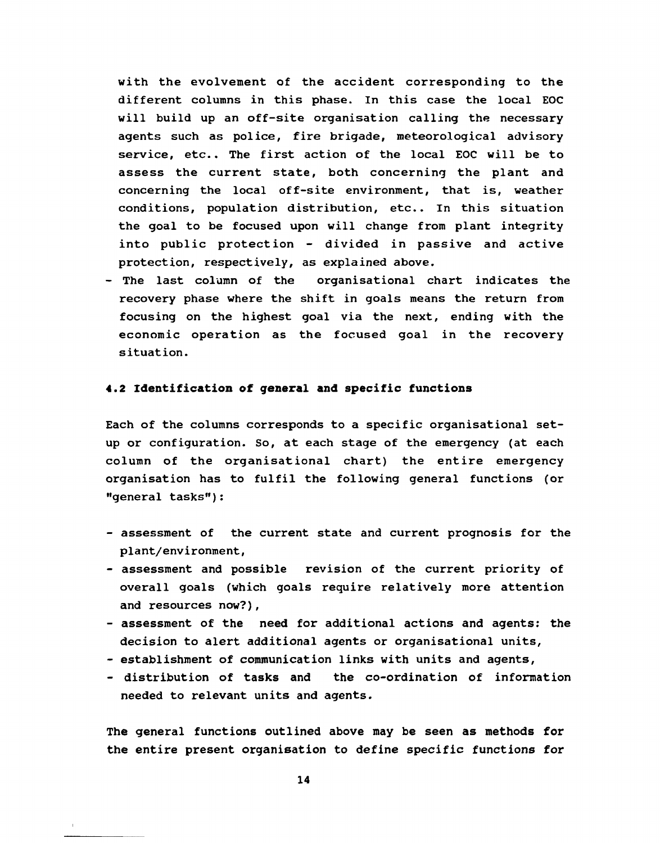with the evolvement of the accident corresponding to the different columns in this phase. In this case the local EOC will build up an off-site organisation calling the necessary agents such as police, fire brigade, meteorological advisory service, etc.. The first action of the local EOC will be to assess the current state, both concerning the plant and concerning the local off-site environment, that is, weather conditions, population distribution, etc.. In this situation the goal to be focused upon will change from plant integrity into public protection - divided in passive and active protection, respectively, as explained above.

- The last column of the organisational chart indicates the recovery phase where the shift in goals means the return from focusing on the highest goal via the next, ending with the economic operation as the focused goal in the recovery situation.

#### 4.2 Identification of general **and** specific functions

Each of the columns corresponds to a specific organisational setup or configuration. So, at each stage of the emergency (at each column of the organisational chart) the entire emergency organisation has to fulfil the following general functions (or "general tasks"):

- assessment of the current state and current prognosis for the plant/environment,
- assessment and possible revision of the current priority of overall goals (which goals require relatively more attention and resources now?),
- assessment of the need for additional actions and agents: the decision to alert additional agents or organisational units,
- establishment of communication links with units and agents,
- distribution of tasks and the co-ordination of information needed to relevant units and agents.

The general functions outlined above may be seen as methods for the entire present organisation to define specific functions for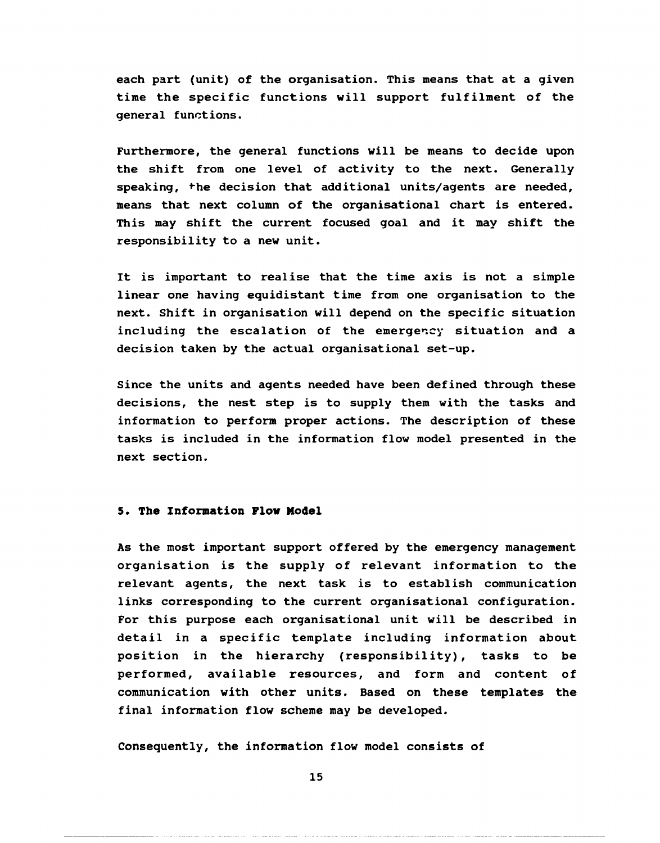each part (unit) of the organisation. This means that at a given time the specific functions will support fulfilment of the general functions.

Furthermore, the general functions will be means to decide upon the shift from one level of activity to the next. Generally speaking, the decision that additional units/agents are needed, means that next column of the organisational chart is entered. This may shift the current focused goal and it may shift the responsibility to a new unit.

It is important to realise that the time axis is not a simple linear one having equidistant time from one organisation to the next. Shift in organisation will depend on the specific situation including the escalation of the emergency situation and a decision taken by the actual organisational set-up.

Since the units and agents needed have been defined through these decisions, the nest step is to supply them with the tasks and information to perform proper actions. The description of these tasks is included in the information flow model presented in the next section.

### **5. The Information Flow Model**

As the most important support offered by the emergency management organisation is the supply of relevant information to the relevant agents, the next task is to establish communication links corresponding to the current organisational configuration. For this purpose each organisational unit will be described in detail in a specific template including information about position in the hierarchy (responsibility), tasks to be performed, available resources, and form and content of communication with other units. Based on these templates the final information flow scheme may be developed.

Consequently, the information flow model consists of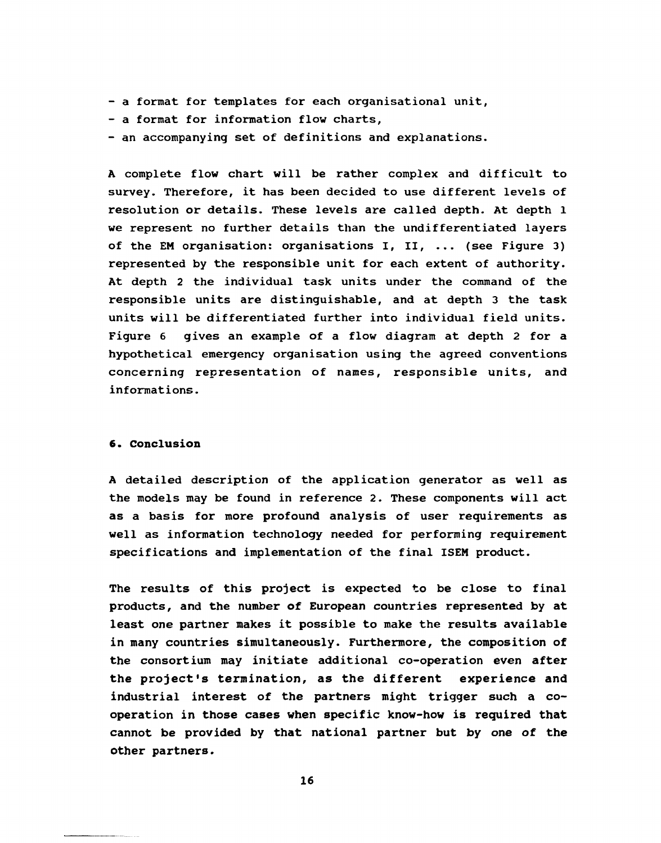- a format for templates for each organisational unit,
- a format for information flow charts,
- an accompanying set of definitions and explanations.

A complete flow chart will be rather complex and difficult to survey. Therefore, it has been decided to use different levels of resolution or details. These levels are called depth. At depth 1 we represent no further details than the undifferentiated layers of the EM organisation: organisations I, II, ... (see Figure 3) represented by the responsible unit for each extent of authority. At depth 2 the individual task units under the command of the responsible units are distinguishable, and at depth 3 the task units will be differentiated further into individual field units. Figure 6 gives an example of a flow diagram at depth 2 for a hypothetical emergency organisation using the agreed conventions concerning representation of names, responsible units, and informations.

#### 6. Conclusion

A detailed description of the application generator as well as the models may be found in reference 2. These components will act as a basis for more profound analysis of user requirements as well as information technology needed for performing requirement specifications and implementation of the final ISEM product.

The results of this project is expected to be close to final products, and the number of European countries represented by at least one partner makes it possible to make the results available in many countries simultaneously. Furthermore, the composition of the consortium may initiate additional co-operation even after the project's termination, as the different experience and industrial interest of the partners might trigger such a cooperation in those cases when specific know-how is required that cannot be provided by that national partner but by one of the other partners.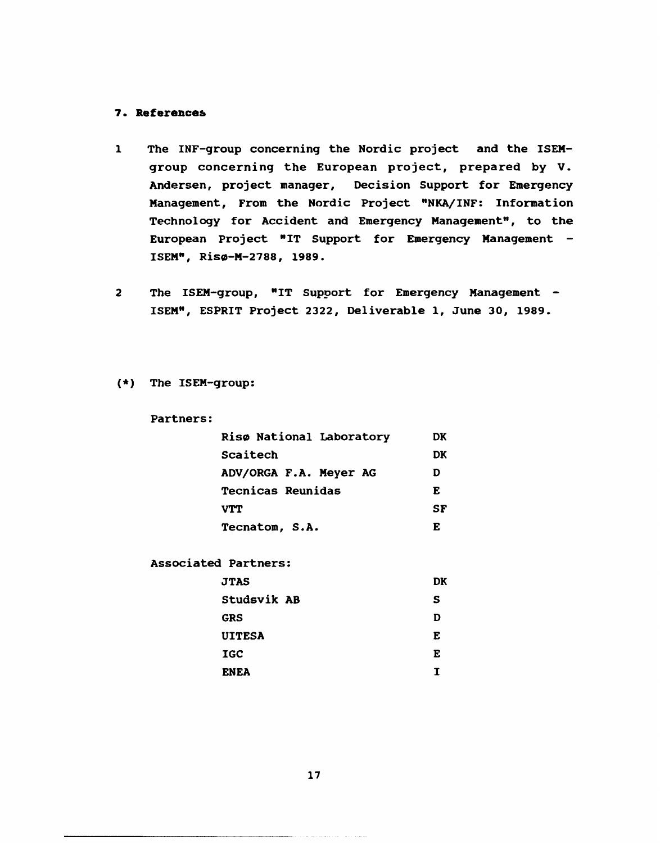# **References**

- $\mathbf{1}$ The INF-group concerning the Nordic project and the ISEMgroup concerning the European project, prepared by V. Andersen, project manager. Decision Support for Emergency Management, From the Nordic Project "NKA/INF: Information Technology for Accident and Emergency Management", to the European Project "IT Support for Emergency Management - ISEM", Risø-M-2788, 1989.
- $\overline{2}$ The ISEM-group, "IT Support for Emergency Management -ISEM", ESPRIT Project 2322, Deliverable 1, June 30, 1989.

(\*) The ISEM-group:

Partners:

| Risø National Laboratory | DК |
|--------------------------|----|
| Scaitech                 | DK |
| ADV/ORGA F.A. Meyer AG   | D  |
| <b>Tecnicas Reunidas</b> | E  |
| <b>VTT</b>               | SF |
| Tecnatom, S.A.           | E  |

Associated Partners:

| <b>JTAS</b>   | DK |
|---------------|----|
| Studsvik AB   | s  |
| <b>GRS</b>    | D  |
| <b>UITESA</b> | E  |
| <b>IGC</b>    | E  |
| <b>ENEA</b>   | т  |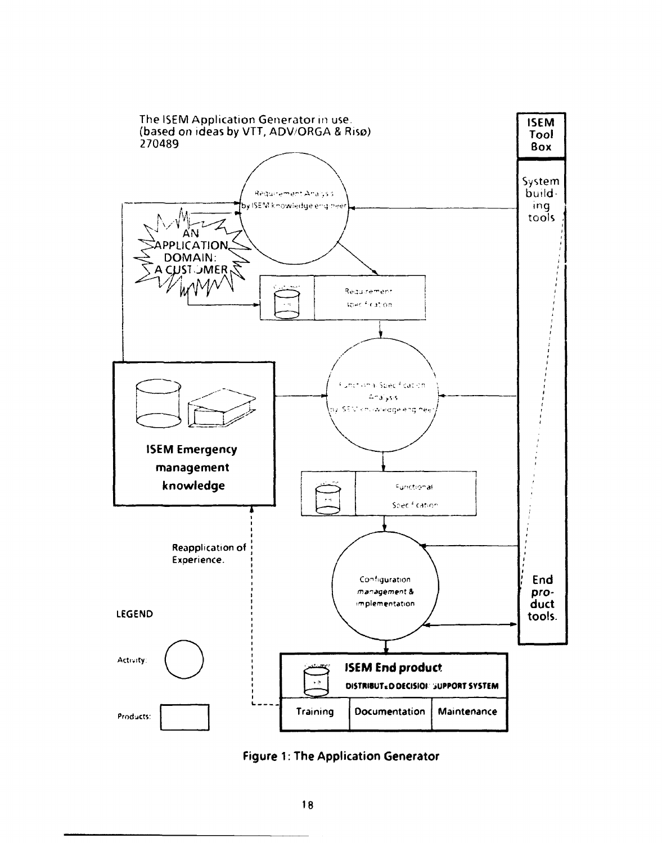

**Figure 1: The Application Generator**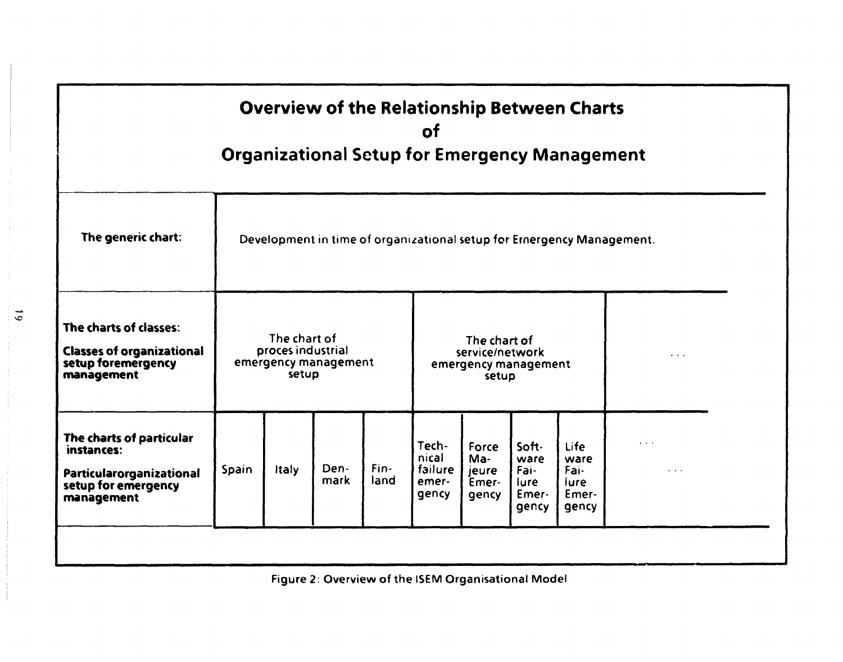| The generic chart:<br>Development in time of organizational setup for Emergency Management.<br>The charts of classes:<br>The chart of<br>The chart of<br>proces industrial<br><b>Classes of organizational</b><br>service/network<br>$\alpha$ , $\alpha$ , $\alpha$<br>setup foremergency<br>emergency management<br>emergency management<br>setup<br>management<br>setup<br>The charts of particular<br>$\cdots$<br>Tech-<br>Soft-<br><b>Life</b><br>Force<br>instances:<br>nical<br>Ma-<br>ware<br>ware<br>Fin-<br>Den-<br>failure<br>Spain<br>Italy<br>Fai-<br>Fai-<br>jeure<br>$\cdot$ $\cdot$ $\cdot$<br>Particularorganizational | <b>Overview of the Relationship Between Charts</b><br><b>of</b><br><b>Organizational Setup for Emergency Management</b> |  |  |      |      |       |       |       |      |  |  |  |
|----------------------------------------------------------------------------------------------------------------------------------------------------------------------------------------------------------------------------------------------------------------------------------------------------------------------------------------------------------------------------------------------------------------------------------------------------------------------------------------------------------------------------------------------------------------------------------------------------------------------------------------|-------------------------------------------------------------------------------------------------------------------------|--|--|------|------|-------|-------|-------|------|--|--|--|
|                                                                                                                                                                                                                                                                                                                                                                                                                                                                                                                                                                                                                                        |                                                                                                                         |  |  |      |      |       |       |       |      |  |  |  |
|                                                                                                                                                                                                                                                                                                                                                                                                                                                                                                                                                                                                                                        |                                                                                                                         |  |  |      |      |       |       |       |      |  |  |  |
| Emer-<br>Emer-<br>gency<br>gency<br>management<br>gency<br>gency                                                                                                                                                                                                                                                                                                                                                                                                                                                                                                                                                                       | setup for emergency                                                                                                     |  |  | mark | land | emer- | Emer- | lure. | lure |  |  |  |

 $\overline{6}$ 

Figure 2: Overview of the ISEM Organisational Model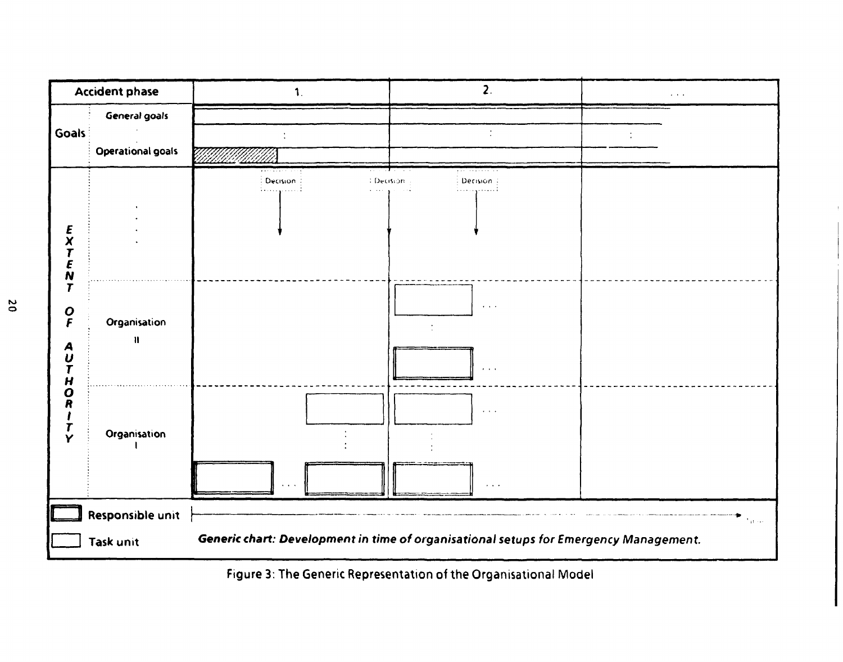

Figure 3: The Generic Representation of the Organisational Model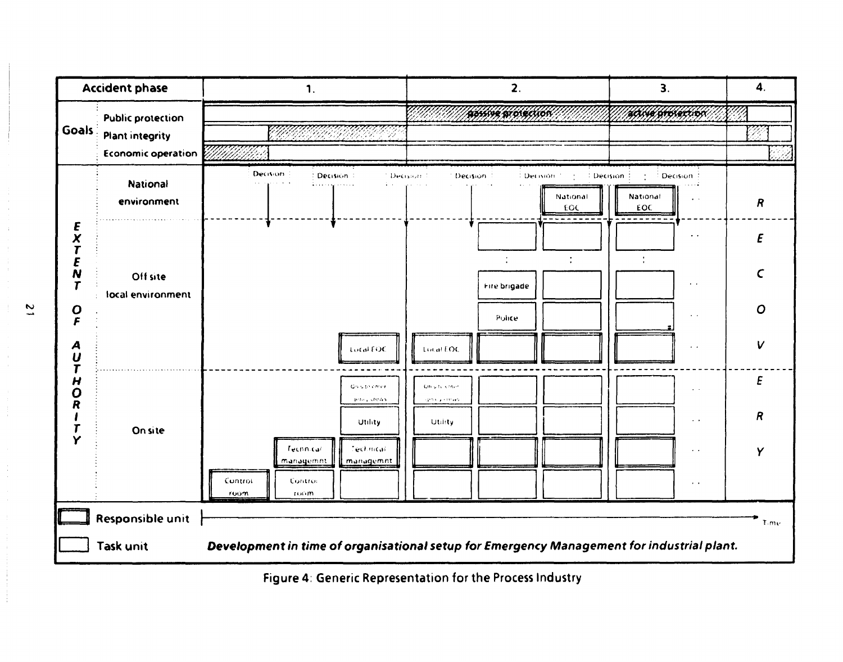

Figure 4: Generic Representation for the Process Industry

 $\overline{\mathbf{c}}$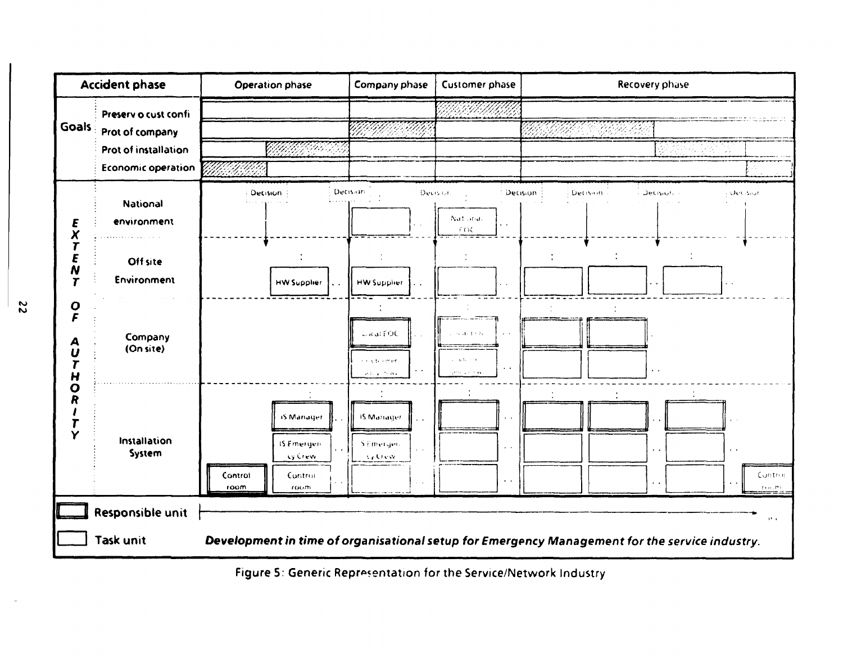

Figure 5: Generic Representation for the Service/Network Industry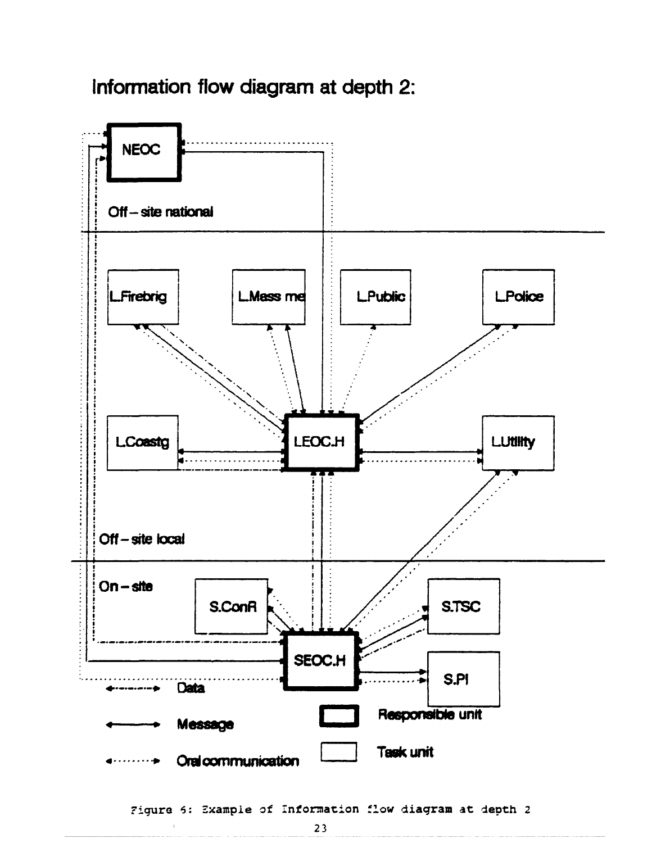# **Information flow diagram at depth 2:**



Figure 6: Example of Information flow diagram at depth 2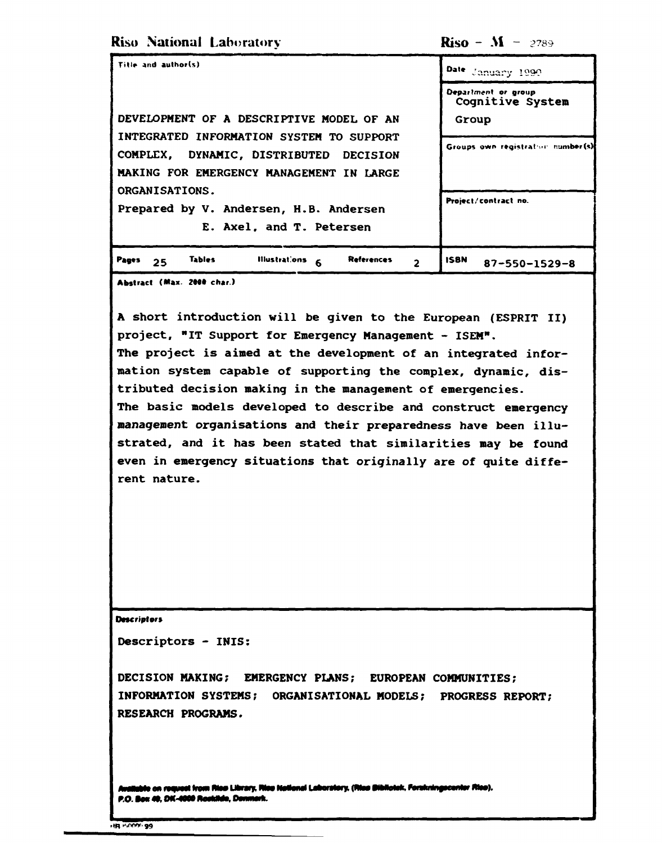**Riso National Laboratory** 

**Riso** –  $M - 2789$ 

| Title and author(s)                                                                | Date January 1990                       |
|------------------------------------------------------------------------------------|-----------------------------------------|
|                                                                                    | Department or group<br>Cognitive System |
| DEVELOPMENT OF A DESCRIPTIVE MODEL OF AN                                           | Group                                   |
| INTEGRATED INFORMATION SYSTEM TO SUPPORT<br>COMPLEX, DYNAMIC, DISTRIBUTED DECISION | Groups own registration number(s)       |
| MAKING FOR EMERGENCY MANAGEMENT IN LARGE                                           |                                         |
| ORGANISATIONS.                                                                     |                                         |
| Prepared by V. Andersen, H.B. Andersen                                             | Project/contract no.                    |
| E. Axel, and T. Petersen                                                           |                                         |
| <b>Tables</b><br>lilustrations<br><b>References</b><br>Pages<br>-6<br>25<br>2      | <b>ISBN</b><br>$87 - 550 - 1529 - 8$    |

Abstract (Max. 2000 char.)

A short introduction will be given to the European (ESPRIT II) project, "IT Support for Emergency Management - ISEM". The project is aimed at the development of an integrated information system capable of supporting the complex, dynamic, distributed decision making in the management of emergencies. The basic models developed to describe and construct emergency management organisations and their preparedness have been illustrated, and it has been stated that similarities may be found even in emergency situations that originally are of quite different nature.

**Descriptors** 

Descriptors - INIS:

DECISION MAKING: EMERGENCY PLANS; EUROPEAN COMMUNITIES; INFORMATION SYSTEMS; ORGANISATIONAL MODELS; PROGRESS REPORT; RESEARCH PROGRAMS.

le on request from Rias Library, Rise Netlonal Laboratory, (Rias Dibliotek, Forskningscenter Rise). P.O. Box 49, DK-4000 Rookilde, Denmark.

HR HOOW 99